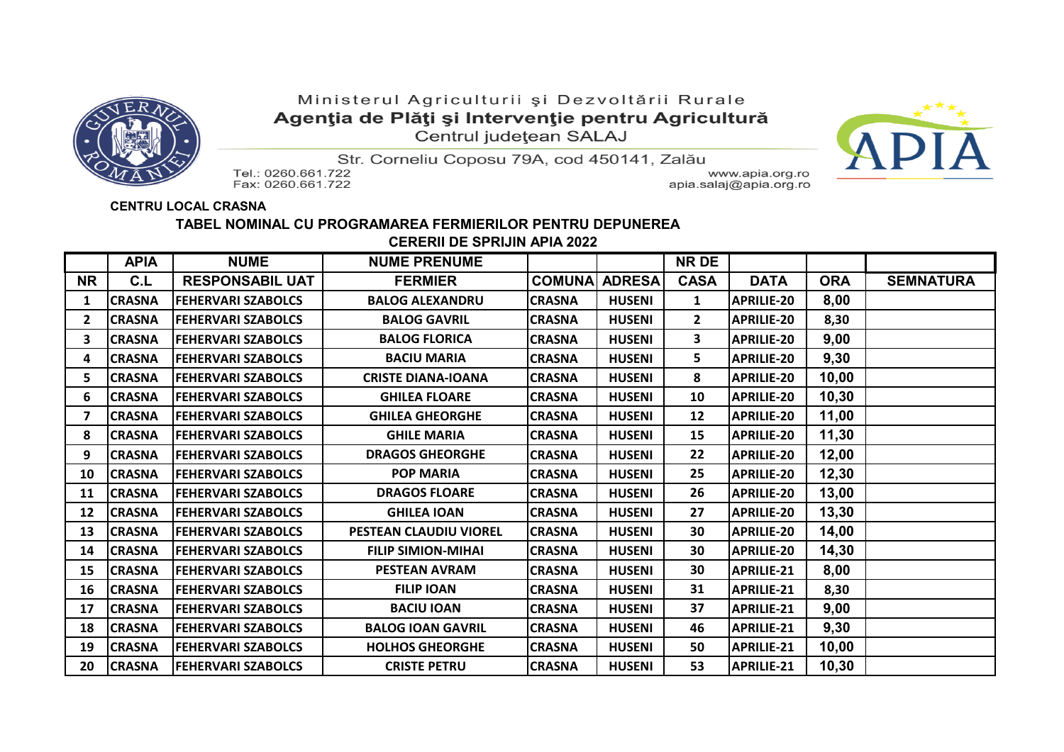

## Ministerul Agriculturii și Dezvoltării Rurale Agenția de Plăți și Intervenție pentru Agricultură Centrul județean SALAJ



Str. Corneliu Coposu 79A, cod 450141, Zalău

Tel.: 0260.661.722 Fax: 0260.661.722

www.apia.org.ro apia.salaj@apia.org.ro

## **CENTRU LOCAL CRASNA**

## **TABEL NOMINAL CU PROGRAMAREA FERMIERILOR PENTRU DEPUNEREA CERERII DE SPRIJIN APIA 2022**

|                | <b>APIA</b>   | <b>NUME</b>               | <b>NUME PRENUME</b>       |               |               | <b>NR DE</b> |                   |            |                  |
|----------------|---------------|---------------------------|---------------------------|---------------|---------------|--------------|-------------------|------------|------------------|
| <b>NR</b>      | C.L           | <b>RESPONSABIL UAT</b>    | <b>FERMIER</b>            | <b>COMUNA</b> | <b>ADRESA</b> | <b>CASA</b>  | <b>DATA</b>       | <b>ORA</b> | <b>SEMNATURA</b> |
| 1              | <b>CRASNA</b> | <b>FEHERVARI SZABOLCS</b> | <b>BALOG ALEXANDRU</b>    | <b>CRASNA</b> | <b>HUSENI</b> | $\mathbf{1}$ | <b>APRILIE-20</b> | 8,00       |                  |
| $\overline{2}$ | <b>CRASNA</b> | <b>FEHERVARI SZABOLCS</b> | <b>BALOG GAVRIL</b>       | <b>CRASNA</b> | <b>HUSENI</b> | $\mathbf{2}$ | <b>APRILIE-20</b> | 8,30       |                  |
| 3              | <b>CRASNA</b> | <b>FEHERVARI SZABOLCS</b> | <b>BALOG FLORICA</b>      | <b>CRASNA</b> | <b>HUSENI</b> | 3            | <b>APRILIE-20</b> | 9,00       |                  |
| 4              | <b>CRASNA</b> | <b>FEHERVARI SZABOLCS</b> | <b>BACIU MARIA</b>        | <b>CRASNA</b> | <b>HUSENI</b> | 5            | <b>APRILIE-20</b> | 9,30       |                  |
| 5              | <b>CRASNA</b> | <b>FEHERVARI SZABOLCS</b> | <b>CRISTE DIANA-IOANA</b> | <b>CRASNA</b> | <b>HUSENI</b> | 8            | <b>APRILIE-20</b> | 10,00      |                  |
| 6              | <b>CRASNA</b> | <b>FEHERVARI SZABOLCS</b> | <b>GHILEA FLOARE</b>      | <b>CRASNA</b> | <b>HUSENI</b> | 10           | <b>APRILIE-20</b> | 10,30      |                  |
| 7              | <b>CRASNA</b> | <b>FEHERVARI SZABOLCS</b> | <b>GHILEA GHEORGHE</b>    | <b>CRASNA</b> | <b>HUSENI</b> | 12           | <b>APRILIE-20</b> | 11,00      |                  |
| 8              | <b>CRASNA</b> | <b>FEHERVARI SZABOLCS</b> | <b>GHILE MARIA</b>        | <b>CRASNA</b> | <b>HUSENI</b> | 15           | <b>APRILIE-20</b> | 11,30      |                  |
| 9              | <b>CRASNA</b> | <b>FEHERVARI SZABOLCS</b> | <b>DRAGOS GHEORGHE</b>    | <b>CRASNA</b> | <b>HUSENI</b> | 22           | <b>APRILIE-20</b> | 12,00      |                  |
| 10             | <b>CRASNA</b> | <b>FEHERVARI SZABOLCS</b> | <b>POP MARIA</b>          | <b>CRASNA</b> | <b>HUSENI</b> | 25           | <b>APRILIE-20</b> | 12,30      |                  |
| 11             | <b>CRASNA</b> | <b>FEHERVARI SZABOLCS</b> | <b>DRAGOS FLOARE</b>      | <b>CRASNA</b> | <b>HUSENI</b> | 26           | <b>APRILIE-20</b> | 13,00      |                  |
| 12             | <b>CRASNA</b> | <b>FEHERVARI SZABOLCS</b> | <b>GHILEA IOAN</b>        | <b>CRASNA</b> | <b>HUSENI</b> | 27           | <b>APRILIE-20</b> | 13,30      |                  |
| 13             | <b>CRASNA</b> | <b>FEHERVARI SZABOLCS</b> | PESTEAN CLAUDIU VIOREL    | <b>CRASNA</b> | <b>HUSENI</b> | 30           | <b>APRILIE-20</b> | 14,00      |                  |
| 14             | <b>CRASNA</b> | <b>FEHERVARI SZABOLCS</b> | <b>FILIP SIMION-MIHAI</b> | <b>CRASNA</b> | <b>HUSENI</b> | 30           | <b>APRILIE-20</b> | 14,30      |                  |
| 15             | <b>CRASNA</b> | <b>FEHERVARI SZABOLCS</b> | <b>PESTEAN AVRAM</b>      | <b>CRASNA</b> | <b>HUSENI</b> | 30           | <b>APRILIE-21</b> | 8,00       |                  |
| 16             | <b>CRASNA</b> | <b>FEHERVARI SZABOLCS</b> | <b>FILIP IOAN</b>         | <b>CRASNA</b> | <b>HUSENI</b> | 31           | <b>APRILIE-21</b> | 8,30       |                  |
| 17             | <b>CRASNA</b> | <b>FEHERVARI SZABOLCS</b> | <b>BACIU IOAN</b>         | <b>CRASNA</b> | <b>HUSENI</b> | 37           | <b>APRILIE-21</b> | 9,00       |                  |
| 18             | <b>CRASNA</b> | <b>FEHERVARI SZABOLCS</b> | <b>BALOG IOAN GAVRIL</b>  | <b>CRASNA</b> | <b>HUSENI</b> | 46           | <b>APRILIE-21</b> | 9,30       |                  |
| 19             | <b>CRASNA</b> | <b>FEHERVARI SZABOLCS</b> | <b>HOLHOS GHEORGHE</b>    | <b>CRASNA</b> | <b>HUSENI</b> | 50           | <b>APRILIE-21</b> | 10,00      |                  |
| 20             | <b>CRASNA</b> | <b>FEHERVARI SZABOLCS</b> | <b>CRISTE PETRU</b>       | <b>CRASNA</b> | <b>HUSENI</b> | 53           | <b>APRILIE-21</b> | 10,30      |                  |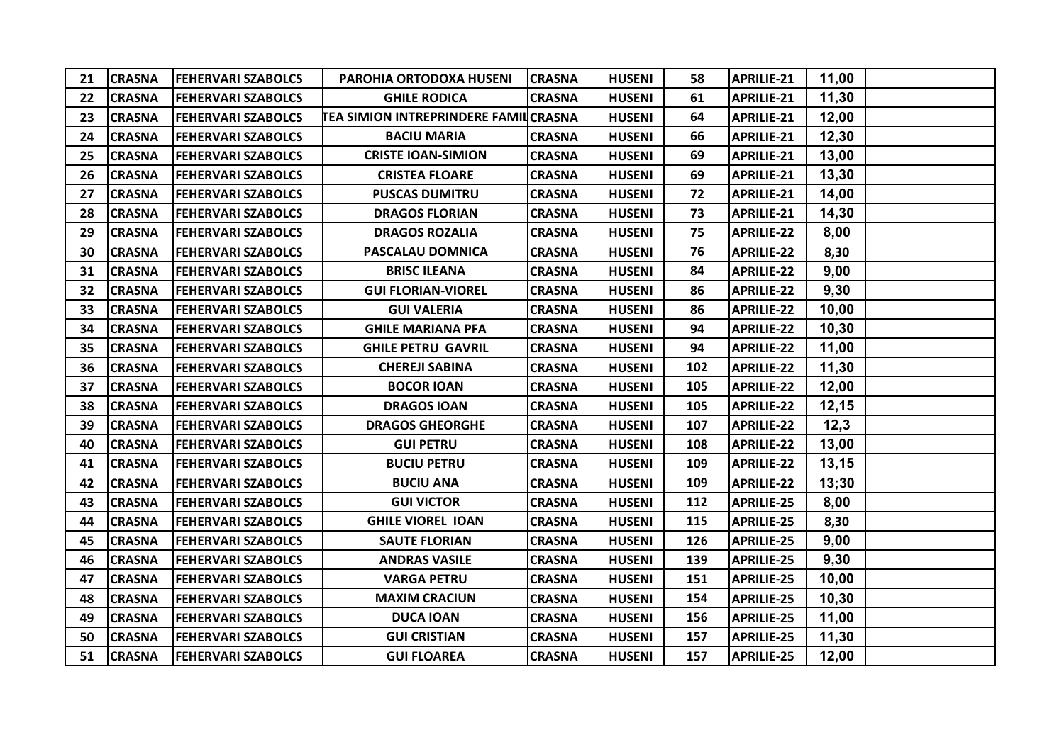| 21 | <b>CRASNA</b> | <b>FEHERVARI SZABOLCS</b> | PAROHIA ORTODOXA HUSENI                     | <b>CRASNA</b> | <b>HUSENI</b> | 58  | <b>APRILIE-21</b> | 11,00 |  |
|----|---------------|---------------------------|---------------------------------------------|---------------|---------------|-----|-------------------|-------|--|
| 22 | <b>CRASNA</b> | <b>FEHERVARI SZABOLCS</b> | <b>GHILE RODICA</b>                         | <b>CRASNA</b> | <b>HUSENI</b> | 61  | <b>APRILIE-21</b> | 11,30 |  |
| 23 | <b>CRASNA</b> | <b>FEHERVARI SZABOLCS</b> | <b>TEA SIMION INTREPRINDERE FAMILCRASNA</b> |               | <b>HUSENI</b> | 64  | <b>APRILIE-21</b> | 12,00 |  |
| 24 | <b>CRASNA</b> | <b>FEHERVARI SZABOLCS</b> | <b>BACIU MARIA</b>                          | <b>CRASNA</b> | <b>HUSENI</b> | 66  | <b>APRILIE-21</b> | 12,30 |  |
| 25 | <b>CRASNA</b> | <b>FEHERVARI SZABOLCS</b> | <b>CRISTE IOAN-SIMION</b>                   | <b>CRASNA</b> | <b>HUSENI</b> | 69  | <b>APRILIE-21</b> | 13,00 |  |
| 26 | <b>CRASNA</b> | <b>FEHERVARI SZABOLCS</b> | <b>CRISTEA FLOARE</b>                       | <b>CRASNA</b> | <b>HUSENI</b> | 69  | APRILIE-21        | 13,30 |  |
| 27 | <b>CRASNA</b> | <b>FEHERVARI SZABOLCS</b> | <b>PUSCAS DUMITRU</b>                       | <b>CRASNA</b> | <b>HUSENI</b> | 72  | <b>APRILIE-21</b> | 14,00 |  |
| 28 | <b>CRASNA</b> | <b>FEHERVARI SZABOLCS</b> | <b>DRAGOS FLORIAN</b>                       | <b>CRASNA</b> | <b>HUSENI</b> | 73  | <b>APRILIE-21</b> | 14,30 |  |
| 29 | <b>CRASNA</b> | <b>FEHERVARI SZABOLCS</b> | <b>DRAGOS ROZALIA</b>                       | <b>CRASNA</b> | <b>HUSENI</b> | 75  | <b>APRILIE-22</b> | 8,00  |  |
| 30 | <b>CRASNA</b> | <b>FEHERVARI SZABOLCS</b> | PASCALAU DOMNICA                            | <b>CRASNA</b> | <b>HUSENI</b> | 76  | <b>APRILIE-22</b> | 8,30  |  |
| 31 | <b>CRASNA</b> | <b>FEHERVARI SZABOLCS</b> | <b>BRISC ILEANA</b>                         | <b>CRASNA</b> | <b>HUSENI</b> | 84  | <b>APRILIE-22</b> | 9,00  |  |
| 32 | <b>CRASNA</b> | <b>FEHERVARI SZABOLCS</b> | <b>GUI FLORIAN-VIOREL</b>                   | <b>CRASNA</b> | <b>HUSENI</b> | 86  | <b>APRILIE-22</b> | 9,30  |  |
| 33 | <b>CRASNA</b> | <b>FEHERVARI SZABOLCS</b> | <b>GUI VALERIA</b>                          | <b>CRASNA</b> | <b>HUSENI</b> | 86  | <b>APRILIE-22</b> | 10,00 |  |
| 34 | <b>CRASNA</b> | <b>FEHERVARI SZABOLCS</b> | <b>GHILE MARIANA PFA</b>                    | <b>CRASNA</b> | <b>HUSENI</b> | 94  | <b>APRILIE-22</b> | 10,30 |  |
| 35 | <b>CRASNA</b> | <b>FEHERVARI SZABOLCS</b> | <b>GHILE PETRU GAVRIL</b>                   | <b>CRASNA</b> | <b>HUSENI</b> | 94  | <b>APRILIE-22</b> | 11,00 |  |
| 36 | <b>CRASNA</b> | <b>FEHERVARI SZABOLCS</b> | <b>CHEREJI SABINA</b>                       | <b>CRASNA</b> | <b>HUSENI</b> | 102 | <b>APRILIE-22</b> | 11,30 |  |
| 37 | <b>CRASNA</b> | <b>FEHERVARI SZABOLCS</b> | <b>BOCOR IOAN</b>                           | <b>CRASNA</b> | <b>HUSENI</b> | 105 | <b>APRILIE-22</b> | 12,00 |  |
| 38 | <b>CRASNA</b> | <b>FEHERVARI SZABOLCS</b> | <b>DRAGOS IOAN</b>                          | <b>CRASNA</b> | <b>HUSENI</b> | 105 | <b>APRILIE-22</b> | 12,15 |  |
| 39 | <b>CRASNA</b> | <b>FEHERVARI SZABOLCS</b> | <b>DRAGOS GHEORGHE</b>                      | <b>CRASNA</b> | <b>HUSENI</b> | 107 | <b>APRILIE-22</b> | 12,3  |  |
| 40 | <b>CRASNA</b> | <b>FEHERVARI SZABOLCS</b> | <b>GUI PETRU</b>                            | <b>CRASNA</b> | <b>HUSENI</b> | 108 | <b>APRILIE-22</b> | 13,00 |  |
| 41 | <b>CRASNA</b> | <b>FEHERVARI SZABOLCS</b> | <b>BUCIU PETRU</b>                          | <b>CRASNA</b> | <b>HUSENI</b> | 109 | <b>APRILIE-22</b> | 13,15 |  |
| 42 | <b>CRASNA</b> | <b>FEHERVARI SZABOLCS</b> | <b>BUCIU ANA</b>                            | <b>CRASNA</b> | <b>HUSENI</b> | 109 | <b>APRILIE-22</b> | 13;30 |  |
| 43 | <b>CRASNA</b> | <b>FEHERVARI SZABOLCS</b> | <b>GUI VICTOR</b>                           | <b>CRASNA</b> | <b>HUSENI</b> | 112 | <b>APRILIE-25</b> | 8,00  |  |
| 44 | <b>CRASNA</b> | <b>FEHERVARI SZABOLCS</b> | <b>GHILE VIOREL IOAN</b>                    | <b>CRASNA</b> | <b>HUSENI</b> | 115 | <b>APRILIE-25</b> | 8,30  |  |
| 45 | <b>CRASNA</b> | <b>FEHERVARI SZABOLCS</b> | <b>SAUTE FLORIAN</b>                        | <b>CRASNA</b> | <b>HUSENI</b> | 126 | <b>APRILIE-25</b> | 9,00  |  |
| 46 | <b>CRASNA</b> | <b>FEHERVARI SZABOLCS</b> | <b>ANDRAS VASILE</b>                        | <b>CRASNA</b> | <b>HUSENI</b> | 139 | <b>APRILIE-25</b> | 9,30  |  |
| 47 | <b>CRASNA</b> | <b>FEHERVARI SZABOLCS</b> | <b>VARGA PETRU</b>                          | <b>CRASNA</b> | <b>HUSENI</b> | 151 | <b>APRILIE-25</b> | 10,00 |  |
| 48 | <b>CRASNA</b> | <b>FEHERVARI SZABOLCS</b> | <b>MAXIM CRACIUN</b>                        | <b>CRASNA</b> | <b>HUSENI</b> | 154 | <b>APRILIE-25</b> | 10,30 |  |
| 49 | <b>CRASNA</b> | <b>FEHERVARI SZABOLCS</b> | <b>DUCA IOAN</b>                            | <b>CRASNA</b> | <b>HUSENI</b> | 156 | <b>APRILIE-25</b> | 11,00 |  |
| 50 | <b>CRASNA</b> | <b>FEHERVARI SZABOLCS</b> | <b>GUI CRISTIAN</b>                         | <b>CRASNA</b> | <b>HUSENI</b> | 157 | <b>APRILIE-25</b> | 11,30 |  |
| 51 | <b>CRASNA</b> | <b>FEHERVARI SZABOLCS</b> | <b>GUI FLOAREA</b>                          | <b>CRASNA</b> | <b>HUSENI</b> | 157 | <b>APRILIE-25</b> | 12,00 |  |